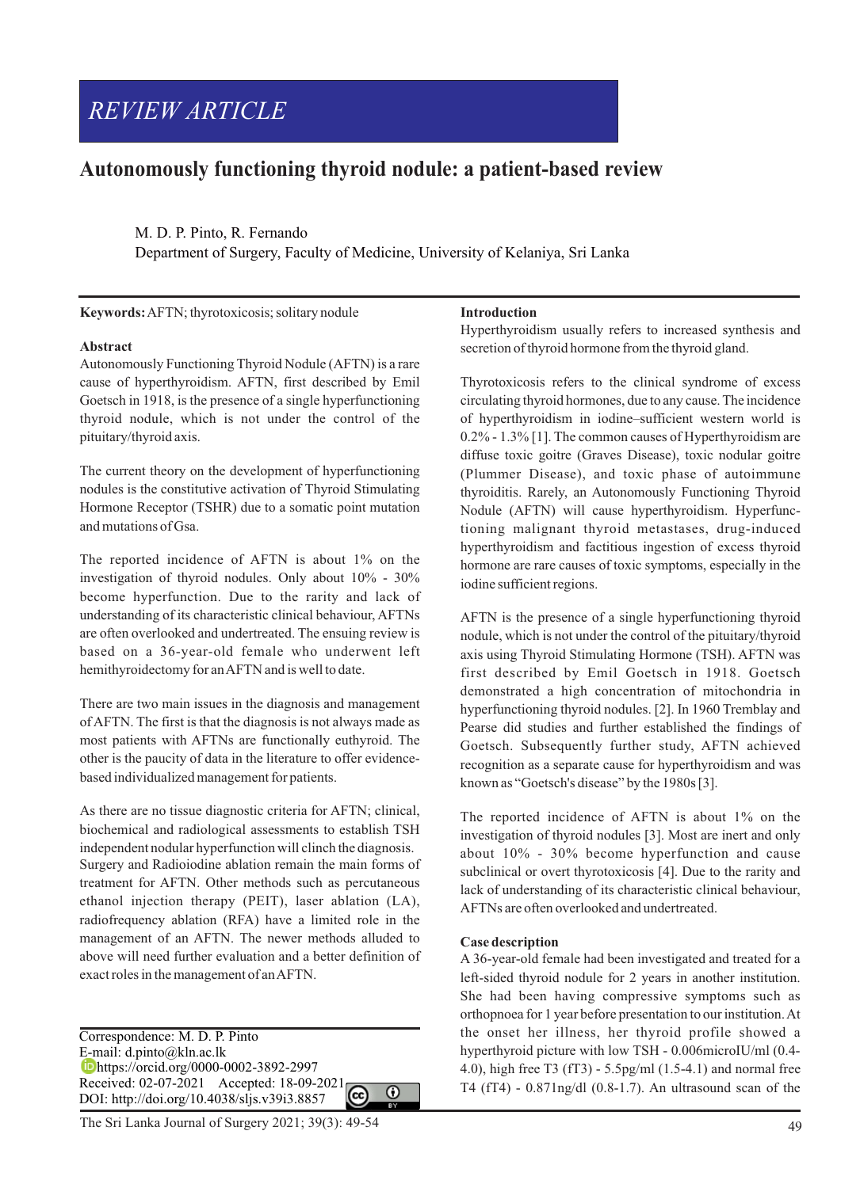# *REVIEW ARTICLE*

# **Autonomously functioning thyroid nodule: a patient-based review**

#### M. D. P. Pinto, R. Fernando

Department of Surgery, Faculty of Medicine, University of Kelaniya, Sri Lanka

**Keywords:**AFTN; thyrotoxicosis; solitary nodule

#### **Abstract**

Autonomously Functioning Thyroid Nodule (AFTN) is a rare cause of hyperthyroidism. AFTN, first described by Emil Goetsch in 1918, is the presence of a single hyperfunctioning thyroid nodule, which is not under the control of the pituitary/thyroid axis.

The current theory on the development of hyperfunctioning nodules is the constitutive activation of Thyroid Stimulating Hormone Receptor (TSHR) due to a somatic point mutation and mutations of Gsa.

The reported incidence of AFTN is about 1% on the investigation of thyroid nodules. Only about 10% - 30% become hyperfunction. Due to the rarity and lack of understanding of its characteristic clinical behaviour, AFTNs are often overlooked and undertreated. The ensuing review is based on a 36-year-old female who underwent left hemithyroidectomy for an AFTN and is well to date.

There are two main issues in the diagnosis and management of AFTN. The first is that the diagnosis is not always made as most patients with AFTNs are functionally euthyroid. The other is the paucity of data in the literature to offer evidencebased individualized management for patients.

As there are no tissue diagnostic criteria for AFTN; clinical, biochemical and radiological assessments to establish TSH independent nodular hyperfunction will clinch the diagnosis. Surgery and Radioiodine ablation remain the main forms of treatment for AFTN. Other methods such as percutaneous ethanol injection therapy (PEIT), laser ablation (LA), radiofrequency ablation (RFA) have a limited role in the management of an AFTN. The newer methods alluded to above will need further evaluation and a better definition of exact roles in the management of an AFTN.

Correspondence: M. D. P. Pinto E-mail: d.pinto@kln.ac.lk https://orcid.org/0000-0002-3892-2997 **U** https://orcid.org/vood-odded: [1](https://creativecommons.org/licenses/by/4.0/)8-09-2021<br>Received: 02-07-2021 Accepted: 18-09-2021  $\Omega$ DOI: http://doi.org/10.4038/sljs.v39i3.8857

#### **Introduction**

Hyperthyroidism usually refers to increased synthesis and secretion of thyroid hormone from the thyroid gland.

Thyrotoxicosis refers to the clinical syndrome of excess circulating thyroid hormones, due to any cause. The incidence of hyperthyroidism in iodine–sufficient western world is 0.2% - 1.3% [1]. The common causes of Hyperthyroidism are diffuse toxic goitre (Graves Disease), toxic nodular goitre (Plummer Disease), and toxic phase of autoimmune thyroiditis. Rarely, an Autonomously Functioning Thyroid Nodule (AFTN) will cause hyperthyroidism. Hyperfunctioning malignant thyroid metastases, drug-induced hyperthyroidism and factitious ingestion of excess thyroid hormone are rare causes of toxic symptoms, especially in the iodine sufficient regions.

AFTN is the presence of a single hyperfunctioning thyroid nodule, which is not under the control of the pituitary/thyroid axis using Thyroid Stimulating Hormone (TSH). AFTN was first described by Emil Goetsch in 1918. Goetsch demonstrated a high concentration of mitochondria in hyperfunctioning thyroid nodules. [2]. In 1960 Tremblay and Pearse did studies and further established the findings of Goetsch. Subsequently further study, AFTN achieved recognition as a separate cause for hyperthyroidism and was known as "Goetsch's disease" by the 1980s [3].

The reported incidence of AFTN is about 1% on the investigation of thyroid nodules [3]. Most are inert and only about 10% - 30% become hyperfunction and cause subclinical or overt thyrotoxicosis [4]. Due to the rarity and lack of understanding of its characteristic clinical behaviour, AFTNs are often overlooked and undertreated.

#### **Case description**

A 36-year-old female had been investigated and treated for a left-sided thyroid nodule for 2 years in another institution. She had been having compressive symptoms such as orthopnoea for 1 year before presentation to our institution. At the onset her illness, her thyroid profile showed a hyperthyroid picture with low TSH - 0.006microIU/ml (0.4- 4.0), high free T3 (fT3) - 5.5pg/ml (1.5-4.1) and normal free T4 (fT4) - 0.871ng/dl (0.8-1.7). An ultrasound scan of the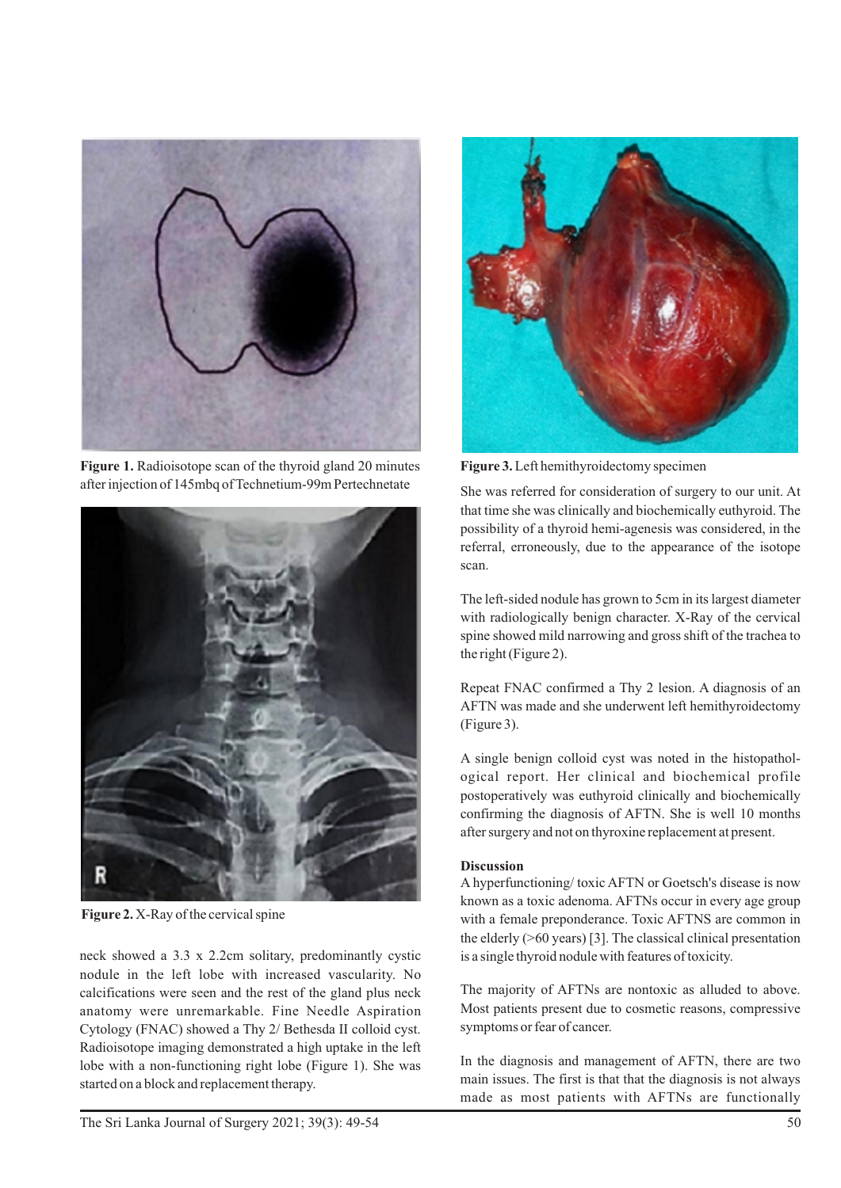

Figure 1. Radioisotope scan of the thyroid gland 20 minutes after injection of 145mbq of Technetium-99m Pertechnetate



**Figure 2.** X-Ray of the cervical spine

neck showed a 3.3 x 2.2cm solitary, predominantly cystic nodule in the left lobe with increased vascularity. No calcifications were seen and the rest of the gland plus neck anatomy were unremarkable. Fine Needle Aspiration Cytology (FNAC) showed a Thy 2/ Bethesda II colloid cyst. Radioisotope imaging demonstrated a high uptake in the left lobe with a non-functioning right lobe (Figure 1). She was started on a block and replacement therapy.



**Figure 3.**Left hemithyroidectomy specimen

She was referred for consideration of surgery to our unit. At that time she was clinically and biochemically euthyroid. The possibility of a thyroid hemi-agenesis was considered, in the referral, erroneously, due to the appearance of the isotope scan.

The left-sided nodule has grown to 5cm in its largest diameter with radiologically benign character. X-Ray of the cervical spine showed mild narrowing and gross shift of the trachea to the right (Figure 2).

Repeat FNAC confirmed a Thy 2 lesion. A diagnosis of an AFTN was made and she underwent left hemithyroidectomy (Figure 3).

A single benign colloid cyst was noted in the histopathological report. Her clinical and biochemical profile postoperatively was euthyroid clinically and biochemically confirming the diagnosis of AFTN. She is well 10 months after surgery and not on thyroxine replacement at present.

## **Discussion**

A hyperfunctioning/ toxic AFTN or Goetsch's disease is now known as a toxic adenoma. AFTNs occur in every age group with a female preponderance. Toxic AFTNS are common in the elderly (>60 years) [3]. The classical clinical presentation is a single thyroid nodule with features of toxicity.

The majority of AFTNs are nontoxic as alluded to above. Most patients present due to cosmetic reasons, compressive symptoms or fear of cancer.

In the diagnosis and management of AFTN, there are two main issues. The first is that that the diagnosis is not always made as most patients with AFTNs are functionally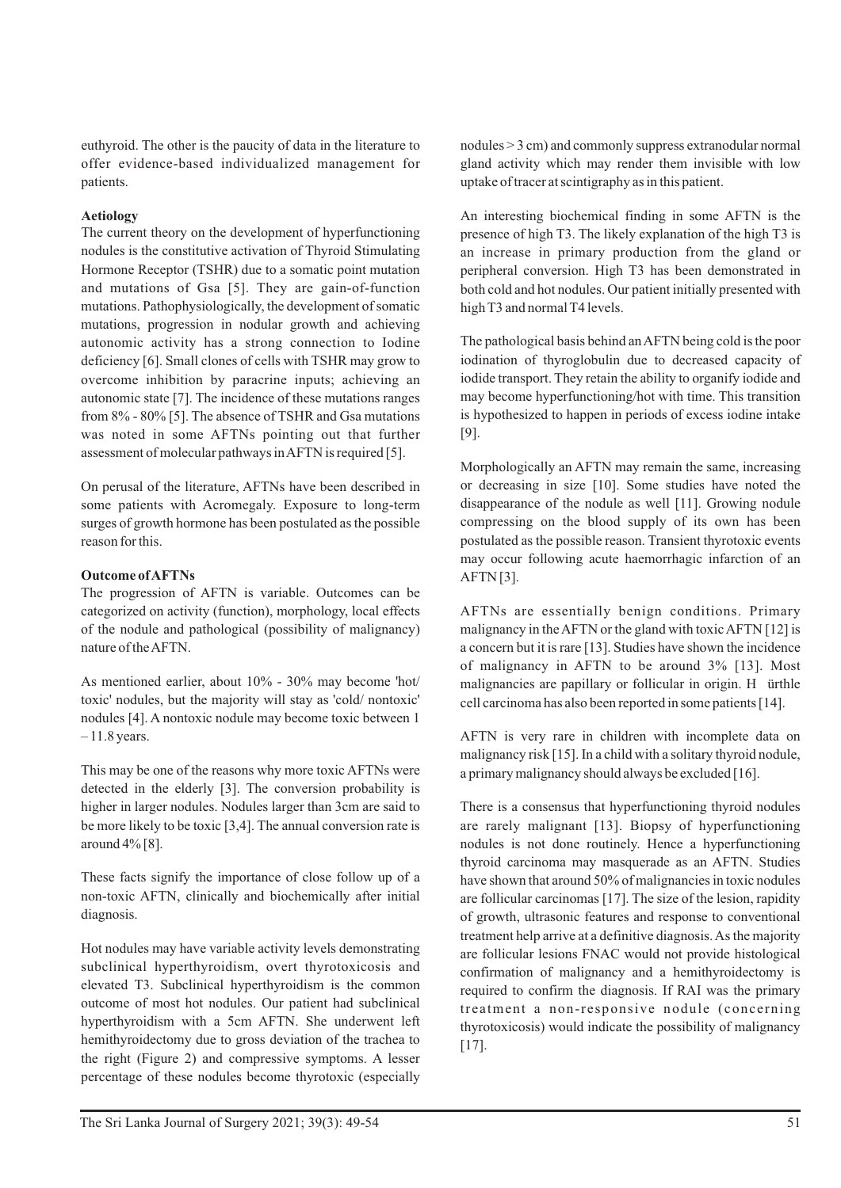euthyroid. The other is the paucity of data in the literature to offer evidence-based individualized management for patients.

#### **Aetiology**

The current theory on the development of hyperfunctioning nodules is the constitutive activation of Thyroid Stimulating Hormone Receptor (TSHR) due to a somatic point mutation and mutations of Gsa [5]. They are gain-of-function mutations. Pathophysiologically, the development of somatic mutations, progression in nodular growth and achieving autonomic activity has a strong connection to Iodine deficiency [6]. Small clones of cells with TSHR may grow to overcome inhibition by paracrine inputs; achieving an autonomic state [7]. The incidence of these mutations ranges from 8% - 80% [5]. The absence of TSHR and Gsa mutations was noted in some AFTNs pointing out that further assessment of molecular pathways in AFTN is required [5].

On perusal of the literature, AFTNs have been described in some patients with Acromegaly. Exposure to long-term surges of growth hormone has been postulated as the possible reason for this.

#### **Outcome of AFTNs**

The progression of AFTN is variable. Outcomes can be categorized on activity (function), morphology, local effects of the nodule and pathological (possibility of malignancy) nature of the AFTN.

As mentioned earlier, about 10% - 30% may become 'hot/ toxic' nodules, but the majority will stay as 'cold/ nontoxic' nodules [4]. A nontoxic nodule may become toxic between 1  $-11.8$  years.

This may be one of the reasons why more toxic AFTNs were detected in the elderly [3]. The conversion probability is higher in larger nodules. Nodules larger than 3cm are said to be more likely to be toxic [3,4]. The annual conversion rate is around 4% [8].

These facts signify the importance of close follow up of a non-toxic AFTN, clinically and biochemically after initial diagnosis.

Hot nodules may have variable activity levels demonstrating subclinical hyperthyroidism, overt thyrotoxicosis and elevated T3. Subclinical hyperthyroidism is the common outcome of most hot nodules. Our patient had subclinical hyperthyroidism with a 5cm AFTN. She underwent left hemithyroidectomy due to gross deviation of the trachea to the right (Figure 2) and compressive symptoms. A lesser percentage of these nodules become thyrotoxic (especially

nodules > 3 cm) and commonly suppress extranodular normal gland activity which may render them invisible with low uptake of tracer at scintigraphy as in this patient.

An interesting biochemical finding in some AFTN is the presence of high T3. The likely explanation of the high T3 is an increase in primary production from the gland or peripheral conversion. High T3 has been demonstrated in both cold and hot nodules. Our patient initially presented with high T3 and normal T4 levels.

The pathological basis behind an AFTN being cold is the poor iodination of thyroglobulin due to decreased capacity of iodide transport. They retain the ability to organify iodide and may become hyperfunctioning/hot with time. This transition is hypothesized to happen in periods of excess iodine intake [9].

Morphologically an AFTN may remain the same, increasing or decreasing in size [10]. Some studies have noted the disappearance of the nodule as well [11]. Growing nodule compressing on the blood supply of its own has been postulated as the possible reason. Transient thyrotoxic events may occur following acute haemorrhagic infarction of an AFTN [3].

AFTNs are essentially benign conditions. Primary malignancy in the AFTN or the gland with toxic AFTN [12] is a concern but it is rare [13]. Studies have shown the incidence of malignancy in AFTN to be around 3% [13]. Most malignancies are papillary or follicular in origin. H ürthle cell carcinoma has also been reported in some patients [14].

AFTN is very rare in children with incomplete data on malignancy risk [15]. In a child with a solitary thyroid nodule, a primary malignancy should always be excluded [16].

There is a consensus that hyperfunctioning thyroid nodules are rarely malignant [13]. Biopsy of hyperfunctioning nodules is not done routinely. Hence a hyperfunctioning thyroid carcinoma may masquerade as an AFTN. Studies have shown that around 50% of malignancies in toxic nodules are follicular carcinomas [17]. The size of the lesion, rapidity of growth, ultrasonic features and response to conventional treatment help arrive at a definitive diagnosis. As the majority are follicular lesions FNAC would not provide histological confirmation of malignancy and a hemithyroidectomy is required to confirm the diagnosis. If RAI was the primary treatment a non-responsive nodule (concerning thyrotoxicosis) would indicate the possibility of malignancy [17].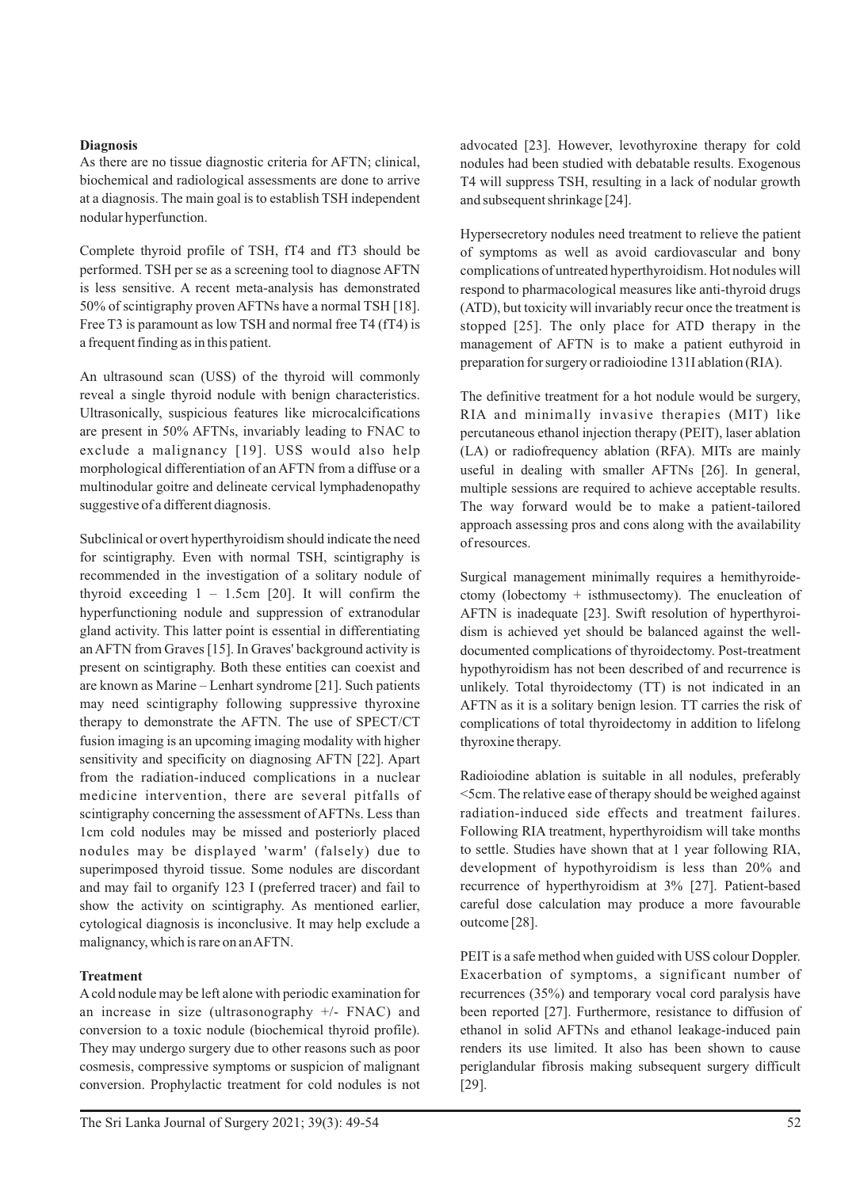#### **Diagnosis**

As there are no tissue diagnostic criteria for AFTN; clinical, biochemical and radiological assessments are done to arrive at a diagnosis. The main goal is to establish TSH independent nodular hyperfunction.

Complete thyroid profile of TSH, fT4 and fT3 should be performed. TSH per se as a screening tool to diagnose AFTN is less sensitive. A recent meta-analysis has demonstrated 50% of scintigraphy proven AFTNs have a normal TSH [18]. Free T3 is paramount as low TSH and normal free T4 (fT4) is a frequent finding as in this patient.

An ultrasound scan (USS) of the thyroid will commonly reveal a single thyroid nodule with benign characteristics. Ultrasonically, suspicious features like microcalcifications are present in 50% AFTNs, invariably leading to FNAC to exclude a malignancy [19]. USS would also help morphological differentiation of an AFTN from a diffuse or a multinodular goitre and delineate cervical lymphadenopathy suggestive of a different diagnosis.

Subclinical or overt hyperthyroidism should indicate the need for scintigraphy. Even with normal TSH, scintigraphy is recommended in the investigation of a solitary nodule of thyroid exceeding  $1 - 1.5$ cm [20]. It will confirm the hyperfunctioning nodule and suppression of extranodular gland activity. This latter point is essential in differentiating an AFTN from Graves [15]. In Graves' background activity is present on scintigraphy. Both these entities can coexist and are known as Marine – Lenhart syndrome [21]. Such patients may need scintigraphy following suppressive thyroxine therapy to demonstrate the AFTN. The use of SPECT/CT fusion imaging is an upcoming imaging modality with higher sensitivity and specificity on diagnosing AFTN [22]. Apart from the radiation-induced complications in a nuclear medicine intervention, there are several pitfalls of scintigraphy concerning the assessment of AFTNs. Less than 1cm cold nodules may be missed and posteriorly placed nodules may be displayed 'warm' (falsely) due to superimposed thyroid tissue. Some nodules are discordant and may fail to organify 123 I (preferred tracer) and fail to show the activity on scintigraphy. As mentioned earlier, cytological diagnosis is inconclusive. It may help exclude a malignancy, which is rare on an AFTN.

## **Treatment**

Acold nodule may be left alone with periodic examination for an increase in size (ultrasonography  $+/-$  FNAC) and conversion to a toxic nodule (biochemical thyroid profile). They may undergo surgery due to other reasons such as poor cosmesis, compressive symptoms or suspicion of malignant conversion. Prophylactic treatment for cold nodules is not advocated [23]. However, levothyroxine therapy for cold nodules had been studied with debatable results. Exogenous T4 will suppress TSH, resulting in a lack of nodular growth and subsequent shrinkage [24].

Hypersecretory nodules need treatment to relieve the patient of symptoms as well as avoid cardiovascular and bony complications of untreated hyperthyroidism. Hot nodules will respond to pharmacological measures like anti-thyroid drugs (ATD), but toxicity will invariably recur once the treatment is stopped [25]. The only place for ATD therapy in the management of AFTN is to make a patient euthyroid in preparation for surgery or radioiodine 131I ablation (RIA).

The definitive treatment for a hot nodule would be surgery, RIA and minimally invasive therapies (MIT) like percutaneous ethanol injection therapy (PEIT), laser ablation (LA) or radiofrequency ablation (RFA). MITs are mainly useful in dealing with smaller AFTNs [26]. In general, multiple sessions are required to achieve acceptable results. The way forward would be to make a patient-tailored approach assessing pros and cons along with the availability of resources.

Surgical management minimally requires a hemithyroidectomy (lobectomy + isthmusectomy). The enucleation of AFTN is inadequate [23]. Swift resolution of hyperthyroidism is achieved yet should be balanced against the welldocumented complications of thyroidectomy. Post-treatment hypothyroidism has not been described of and recurrence is unlikely. Total thyroidectomy (TT) is not indicated in an AFTN as it is a solitary benign lesion. TT carries the risk of complications of total thyroidectomy in addition to lifelong thyroxine therapy.

Radioiodine ablation is suitable in all nodules, preferably <5cm. The relative ease of therapy should be weighed against radiation-induced side effects and treatment failures. Following RIA treatment, hyperthyroidism will take months to settle. Studies have shown that at 1 year following RIA, development of hypothyroidism is less than 20% and recurrence of hyperthyroidism at 3% [27]. Patient-based careful dose calculation may produce a more favourable outcome [28].

PEIT is a safe method when guided with USS colour Doppler. Exacerbation of symptoms, a significant number of recurrences (35%) and temporary vocal cord paralysis have been reported [27]. Furthermore, resistance to diffusion of ethanol in solid AFTNs and ethanol leakage-induced pain renders its use limited. It also has been shown to cause periglandular fibrosis making subsequent surgery difficult [29].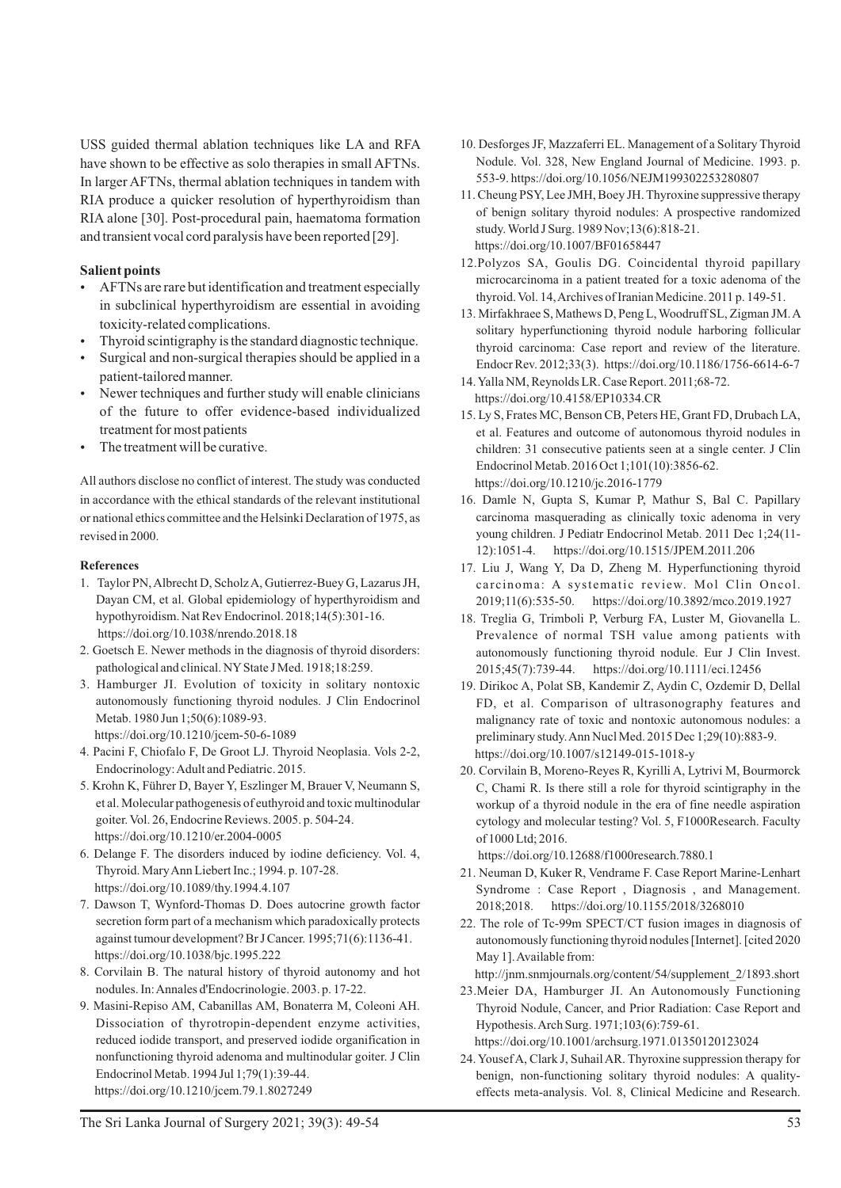USS guided thermal ablation techniques like LA and RFA have shown to be effective as solo therapies in small AFTNs. In larger AFTNs, thermal ablation techniques in tandem with RIA produce a quicker resolution of hyperthyroidism than RIA alone [30]. Post-procedural pain, haematoma formation and transient vocal cord paralysis have been reported [29].

#### **Salient points**

- AFTNs are rare but identification and treatment especially in subclinical hyperthyroidism are essential in avoiding toxicity-related complications.
- Thyroid scintigraphy is the standard diagnostic technique.
- Surgical and non-surgical therapies should be applied in a patient-tailored manner.
- Newer techniques and further study will enable clinicians of the future to offer evidence-based individualized treatment for most patients
- The treatment will be curative.

All authors disclose no conflict of interest. The study was conducted in accordance with the ethical standards of the relevant institutional or national ethics committee and the Helsinki Declaration of 1975, as revised in 2000.

#### **References**

- 1. Taylor PN, Albrecht D, Scholz A, Gutierrez-Buey G, Lazarus JH, Dayan CM, et al. Global epidemiology of hyperthyroidism and hypothyroidism. Nat Rev Endocrinol. 2018;14(5):301-16. https://doi.org/10.1038/nrendo.2018.18
- 2. Goetsch E. Newer methods in the diagnosis of thyroid disorders: pathological and clinical. NYState J Med. 1918;18:259.
- 3. Hamburger JI. Evolution of toxicity in solitary nontoxic autonomously functioning thyroid nodules. J Clin Endocrinol Metab. 1980 Jun 1;50(6):1089-93. https://doi.org/10.1210/jcem-50-6-1089
- 4. Pacini F, Chiofalo F, De Groot LJ. Thyroid Neoplasia. Vols 2-2, Endocrinology: Adult and Pediatric. 2015.
- 5. Krohn K, Führer D, Bayer Y, Eszlinger M, Brauer V, Neumann S, et al. Molecular pathogenesis of euthyroid and toxic multinodular goiter. Vol. 26, Endocrine Reviews. 2005. p. 504-24. https://doi.org/10.1210/er.2004-0005
- 6. Delange F. The disorders induced by iodine deficiency. Vol. 4, Thyroid. Mary Ann Liebert Inc.; 1994. p. 107-28. https://doi.org/10.1089/thy.1994.4.107
- 7. Dawson T, Wynford-Thomas D. Does autocrine growth factor secretion form part of a mechanism which paradoxically protects against tumour development? Br J Cancer. 1995;71(6):1136-41. https://doi.org/10.1038/bjc.1995.222
- 8. Corvilain B. The natural history of thyroid autonomy and hot nodules. In: Annales d'Endocrinologie. 2003. p. 17-22.
- 9. Masini-Repiso AM, Cabanillas AM, Bonaterra M, Coleoni AH. Dissociation of thyrotropin-dependent enzyme activities, reduced iodide transport, and preserved iodide organification in nonfunctioning thyroid adenoma and multinodular goiter. J Clin Endocrinol Metab. 1994 Jul 1;79(1):39-44. https://doi.org/10.1210/jcem.79.1.8027249
- 10. Desforges JF, Mazzaferri EL. Management of a Solitary Thyroid Nodule. Vol. 328, New England Journal of Medicine. 1993. p. 553-9. https://doi.org/10.1056/NEJM199302253280807
- 11. Cheung PSY, Lee JMH, Boey JH. Thyroxine suppressive therapy of benign solitary thyroid nodules: A prospective randomized study. World J Surg. 1989 Nov;13(6):818-21. https://doi.org/10.1007/BF01658447
- 12.Polyzos SA, Goulis DG. Coincidental thyroid papillary microcarcinoma in a patient treated for a toxic adenoma of the thyroid. Vol. 14, Archives of Iranian Medicine. 2011 p. 149-51.
- 13. Mirfakhraee S, Mathews D, Peng L, Woodruff SL, Zigman JM. A solitary hyperfunctioning thyroid nodule harboring follicular thyroid carcinoma: Case report and review of the literature. Endocr Rev. 2012;33(3). https://doi.org/10.1186/1756-6614-6-7
- 14. Yalla NM, Reynolds LR. Case Report. 2011;68-72. https://doi.org/10.4158/EP10334.CR
- 15. Ly S, Frates MC, Benson CB, Peters HE, Grant FD, Drubach LA, et al. Features and outcome of autonomous thyroid nodules in children: 31 consecutive patients seen at a single center. J Clin Endocrinol Metab. 2016 Oct 1;101(10):3856-62. https://doi.org/10.1210/jc.2016-1779
- 16. Damle N, Gupta S, Kumar P, Mathur S, Bal C. Papillary carcinoma masquerading as clinically toxic adenoma in very young children. J Pediatr Endocrinol Metab. 2011 Dec 1;24(11- 12):1051-4. https://doi.org/10.1515/JPEM.2011.206
- 17. Liu J, Wang Y, Da D, Zheng M. Hyperfunctioning thyroid carcinoma: A systematic review. Mol Clin Oncol. 2019;11(6):535-50. https://doi.org/10.3892/mco.2019.1927
- 18. Treglia G, Trimboli P, Verburg FA, Luster M, Giovanella L. Prevalence of normal TSH value among patients with autonomously functioning thyroid nodule. Eur J Clin Invest. 2015;45(7):739-44. https://doi.org/10.1111/eci.12456
- 19. Dirikoc A, Polat SB, Kandemir Z, Aydin C, Ozdemir D, Dellal FD, et al. Comparison of ultrasonography features and malignancy rate of toxic and nontoxic autonomous nodules: a preliminary study. Ann Nucl Med. 2015 Dec 1;29(10):883-9. https://doi.org/10.1007/s12149-015-1018-y
- 20. Corvilain B, Moreno-Reyes R, Kyrilli A, Lytrivi M, Bourmorck C, Chami R. Is there still a role for thyroid scintigraphy in the workup of a thyroid nodule in the era of fine needle aspiration cytology and molecular testing? Vol. 5, F1000Research. Faculty of 1000 Ltd; 2016.

https://doi.org/10.12688/f1000research.7880.1

- 21. Neuman D, Kuker R, Vendrame F. Case Report Marine-Lenhart Syndrome : Case Report , Diagnosis , and Management. 2018;2018. https://doi.org/10.1155/2018/3268010
- 22. The role of Tc-99m SPECT/CT fusion images in diagnosis of autonomously functioning thyroid nodules [Internet]. [cited 2020 May 1]. Available from:

http://jnm.snmjournals.org/content/54/supplement\_2/1893.short

- 23.Meier DA, Hamburger JI. An Autonomously Functioning Thyroid Nodule, Cancer, and Prior Radiation: Case Report and Hypothesis. Arch Surg. 1971;103(6):759-61.
	- https://doi.org/10.1001/archsurg.1971.01350120123024
- 24. Yousef A, Clark J, Suhail AR. Thyroxine suppression therapy for benign, non-functioning solitary thyroid nodules: A qualityeffects meta-analysis. Vol. 8, Clinical Medicine and Research.